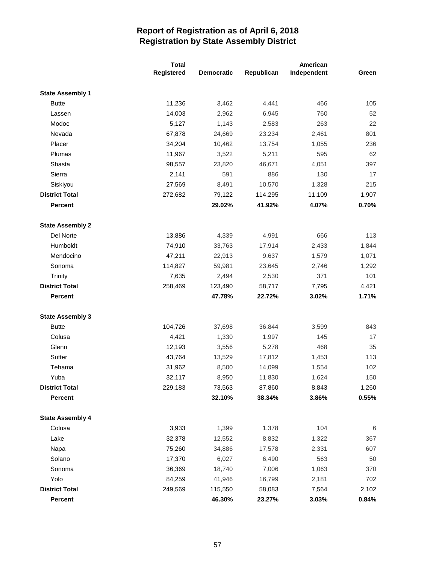|                         | <b>Total</b> |                   | American   |             |       |  |
|-------------------------|--------------|-------------------|------------|-------------|-------|--|
|                         | Registered   | <b>Democratic</b> | Republican | Independent | Green |  |
| <b>State Assembly 1</b> |              |                   |            |             |       |  |
| <b>Butte</b>            | 11,236       | 3,462             | 4,441      | 466         | 105   |  |
| Lassen                  | 14,003       | 2,962             | 6,945      | 760         | 52    |  |
| Modoc                   | 5,127        | 1,143             | 2,583      | 263         | 22    |  |
| Nevada                  | 67,878       | 24,669            | 23,234     | 2,461       | 801   |  |
| Placer                  | 34,204       | 10,462            | 13,754     | 1,055       | 236   |  |
| Plumas                  | 11,967       | 3,522             | 5,211      | 595         | 62    |  |
| Shasta                  | 98,557       | 23,820            | 46,671     | 4,051       | 397   |  |
| Sierra                  | 2,141        | 591               | 886        | 130         | 17    |  |
| Siskiyou                | 27,569       | 8,491             | 10,570     | 1,328       | 215   |  |
| <b>District Total</b>   | 272,682      | 79,122            | 114,295    | 11,109      | 1,907 |  |
| <b>Percent</b>          |              | 29.02%            | 41.92%     | 4.07%       | 0.70% |  |
| <b>State Assembly 2</b> |              |                   |            |             |       |  |
| Del Norte               | 13,886       | 4,339             | 4,991      | 666         | 113   |  |
| Humboldt                | 74,910       | 33,763            | 17,914     | 2,433       | 1,844 |  |
| Mendocino               | 47,211       | 22,913            | 9,637      | 1,579       | 1,071 |  |
| Sonoma                  | 114,827      | 59,981            | 23,645     | 2,746       | 1,292 |  |
| Trinity                 | 7,635        | 2,494             | 2,530      | 371         | 101   |  |
| <b>District Total</b>   | 258,469      | 123,490           | 58,717     | 7,795       | 4,421 |  |
| <b>Percent</b>          |              | 47.78%            | 22.72%     | 3.02%       | 1.71% |  |
| <b>State Assembly 3</b> |              |                   |            |             |       |  |
| <b>Butte</b>            | 104,726      | 37,698            | 36,844     | 3,599       | 843   |  |
| Colusa                  | 4,421        | 1,330             | 1,997      | 145         | 17    |  |
| Glenn                   | 12,193       | 3,556             | 5,278      | 468         | 35    |  |
| Sutter                  | 43,764       | 13,529            | 17,812     | 1,453       | 113   |  |
| Tehama                  | 31,962       | 8,500             | 14,099     | 1,554       | 102   |  |
| Yuba                    | 32,117       | 8,950             | 11,830     | 1,624       | 150   |  |
| <b>District Total</b>   | 229,183      | 73,563            | 87,860     | 8,843       | 1,260 |  |
| Percent                 |              | 32.10%            | 38.34%     | 3.86%       | 0.55% |  |
| <b>State Assembly 4</b> |              |                   |            |             |       |  |
| Colusa                  | 3,933        | 1,399             | 1,378      | 104         | 6     |  |
| Lake                    | 32,378       | 12,552            | 8,832      | 1,322       | 367   |  |
| Napa                    | 75,260       | 34,886            | 17,578     | 2,331       | 607   |  |
| Solano                  | 17,370       | 6,027             | 6,490      | 563         | 50    |  |
| Sonoma                  | 36,369       | 18,740            | 7,006      | 1,063       | 370   |  |
| Yolo                    | 84,259       | 41,946            | 16,799     | 2,181       | 702   |  |
| <b>District Total</b>   | 249,569      | 115,550           | 58,083     | 7,564       | 2,102 |  |
| Percent                 |              | 46.30%            | 23.27%     | 3.03%       | 0.84% |  |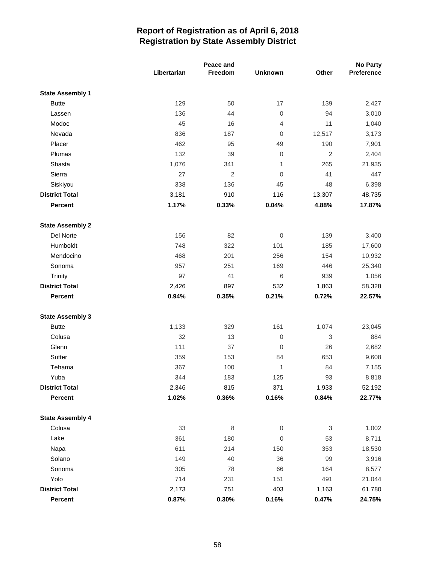|                         | Peace and   |            |                | <b>No Party</b>           |            |
|-------------------------|-------------|------------|----------------|---------------------------|------------|
|                         | Libertarian | Freedom    | <b>Unknown</b> | Other                     | Preference |
| <b>State Assembly 1</b> |             |            |                |                           |            |
| <b>Butte</b>            | 129         | 50         | 17             | 139                       | 2,427      |
| Lassen                  | 136         | 44         | $\mathbf 0$    | 94                        | 3,010      |
| Modoc                   | 45          | 16         | 4              | 11                        | 1,040      |
| Nevada                  | 836         | 187        | 0              | 12,517                    | 3,173      |
| Placer                  | 462         | 95         | 49             | 190                       | 7,901      |
| Plumas                  | 132         | 39         | 0              | $\sqrt{2}$                | 2,404      |
| Shasta                  | 1,076       | 341        | 1              | 265                       | 21,935     |
| Sierra                  | 27          | $\sqrt{2}$ | $\overline{0}$ | 41                        | 447        |
| Siskiyou                | 338         | 136        | 45             | 48                        | 6,398      |
| <b>District Total</b>   | 3,181       | 910        | 116            | 13,307                    | 48,735     |
| Percent                 | 1.17%       | 0.33%      | 0.04%          | 4.88%                     | 17.87%     |
| <b>State Assembly 2</b> |             |            |                |                           |            |
| Del Norte               | 156         | 82         | $\mathbf 0$    | 139                       | 3,400      |
| Humboldt                | 748         | 322        | 101            | 185                       | 17,600     |
| Mendocino               | 468         | 201        | 256            | 154                       | 10,932     |
| Sonoma                  | 957         | 251        | 169            | 446                       | 25,340     |
| Trinity                 | 97          | 41         | 6              | 939                       | 1,056      |
| <b>District Total</b>   | 2,426       | 897        | 532            | 1,863                     | 58,328     |
| Percent                 | 0.94%       | 0.35%      | 0.21%          | 0.72%                     | 22.57%     |
| <b>State Assembly 3</b> |             |            |                |                           |            |
| <b>Butte</b>            | 1,133       | 329        | 161            | 1,074                     | 23,045     |
| Colusa                  | 32          | 13         | $\mathbf 0$    | $\ensuremath{\mathsf{3}}$ | 884        |
| Glenn                   | 111         | 37         | 0              | 26                        | 2,682      |
| Sutter                  | 359         | 153        | 84             | 653                       | 9,608      |
| Tehama                  | 367         | 100        | 1              | 84                        | 7,155      |
| Yuba                    | 344         | 183        | 125            | 93                        | 8,818      |
| <b>District Total</b>   | 2,346       | 815        | 371            | 1,933                     | 52,192     |
| Percent                 | 1.02%       | 0.36%      | 0.16%          | 0.84%                     | 22.77%     |
| <b>State Assembly 4</b> |             |            |                |                           |            |
| Colusa                  | 33          | $\,8\,$    | $\overline{0}$ | 3                         | 1,002      |
| Lake                    | 361         | 180        | $\mathbf 0$    | 53                        | 8,711      |
| Napa                    | 611         | 214        | 150            | 353                       | 18,530     |
| Solano                  | 149         | 40         | 36             | 99                        | 3,916      |
| Sonoma                  | 305         | 78         | 66             | 164                       | 8,577      |
| Yolo                    | 714         | 231        | 151            | 491                       | 21,044     |
| <b>District Total</b>   | 2,173       | 751        | 403            | 1,163                     | 61,780     |
| Percent                 | 0.87%       | 0.30%      | 0.16%          | 0.47%                     | 24.75%     |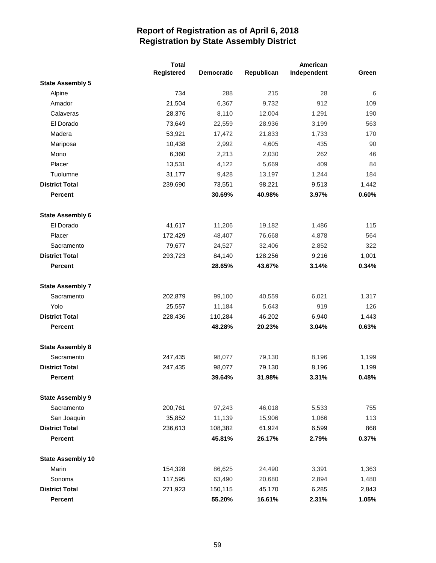|                          | <b>Total</b> |                   | American   |             |       |
|--------------------------|--------------|-------------------|------------|-------------|-------|
|                          | Registered   | <b>Democratic</b> | Republican | Independent | Green |
| <b>State Assembly 5</b>  |              |                   |            |             |       |
| Alpine                   | 734          | 288               | 215        | 28          | 6     |
| Amador                   | 21,504       | 6,367             | 9,732      | 912         | 109   |
| Calaveras                | 28,376       | 8,110             | 12,004     | 1,291       | 190   |
| El Dorado                | 73,649       | 22,559            | 28,936     | 3,199       | 563   |
| Madera                   | 53,921       | 17,472            | 21,833     | 1,733       | 170   |
| Mariposa                 | 10,438       | 2,992             | 4,605      | 435         | 90    |
| Mono                     | 6,360        | 2,213             | 2,030      | 262         | 46    |
| Placer                   | 13,531       | 4,122             | 5,669      | 409         | 84    |
| Tuolumne                 | 31,177       | 9,428             | 13,197     | 1,244       | 184   |
| <b>District Total</b>    | 239,690      | 73,551            | 98,221     | 9,513       | 1,442 |
| <b>Percent</b>           |              | 30.69%            | 40.98%     | 3.97%       | 0.60% |
| <b>State Assembly 6</b>  |              |                   |            |             |       |
| El Dorado                | 41,617       | 11,206            | 19,182     | 1,486       | 115   |
| Placer                   | 172,429      | 48,407            | 76,668     | 4,878       | 564   |
| Sacramento               | 79,677       | 24,527            | 32,406     | 2,852       | 322   |
| <b>District Total</b>    | 293,723      | 84,140            | 128,256    | 9,216       | 1,001 |
| <b>Percent</b>           |              | 28.65%            | 43.67%     | 3.14%       | 0.34% |
| <b>State Assembly 7</b>  |              |                   |            |             |       |
| Sacramento               | 202,879      | 99,100            | 40,559     | 6,021       | 1,317 |
| Yolo                     | 25,557       | 11,184            | 5,643      | 919         | 126   |
| <b>District Total</b>    | 228,436      | 110,284           | 46,202     | 6,940       | 1,443 |
| <b>Percent</b>           |              | 48.28%            | 20.23%     | 3.04%       | 0.63% |
| <b>State Assembly 8</b>  |              |                   |            |             |       |
| Sacramento               | 247,435      | 98,077            | 79,130     | 8,196       | 1,199 |
| <b>District Total</b>    | 247,435      | 98,077            | 79,130     | 8,196       | 1,199 |
| <b>Percent</b>           |              | 39.64%            | 31.98%     | 3.31%       | 0.48% |
| <b>State Assembly 9</b>  |              |                   |            |             |       |
| Sacramento               | 200,761      | 97,243            | 46,018     | 5,533       | 755   |
| San Joaquin              | 35,852       | 11,139            | 15,906     | 1,066       | 113   |
| <b>District Total</b>    | 236,613      | 108,382           | 61,924     | 6,599       | 868   |
| <b>Percent</b>           |              | 45.81%            | 26.17%     | 2.79%       | 0.37% |
| <b>State Assembly 10</b> |              |                   |            |             |       |
| Marin                    | 154,328      | 86,625            | 24,490     | 3,391       | 1,363 |
| Sonoma                   | 117,595      | 63,490            | 20,680     | 2,894       | 1,480 |
| <b>District Total</b>    | 271,923      | 150,115           | 45,170     | 6,285       | 2,843 |
| <b>Percent</b>           |              | 55.20%            | 16.61%     | 2.31%       | 1.05% |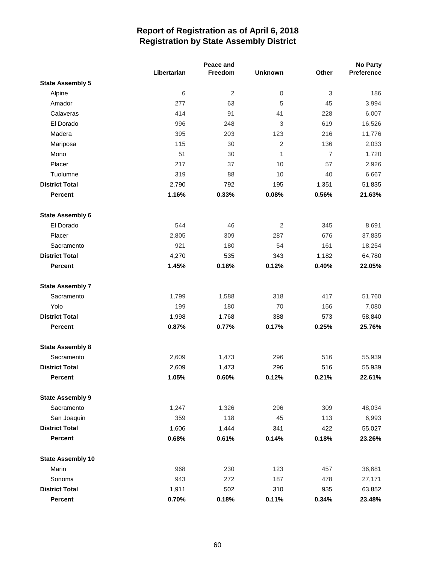|                          | Peace and   |                |                |                | <b>No Party</b> |
|--------------------------|-------------|----------------|----------------|----------------|-----------------|
|                          | Libertarian | Freedom        | <b>Unknown</b> | Other          | Preference      |
| <b>State Assembly 5</b>  |             |                |                |                |                 |
| Alpine                   | 6           | $\overline{2}$ | $\mathsf 0$    | $\,3$          | 186             |
| Amador                   | 277         | 63             | 5              | 45             | 3,994           |
| Calaveras                | 414         | 91             | 41             | 228            | 6,007           |
| El Dorado                | 996         | 248            | 3              | 619            | 16,526          |
| Madera                   | 395         | 203            | 123            | 216            | 11,776          |
| Mariposa                 | 115         | 30             | 2              | 136            | 2,033           |
| Mono                     | 51          | 30             | 1              | $\overline{7}$ | 1,720           |
| Placer                   | 217         | 37             | 10             | 57             | 2,926           |
| Tuolumne                 | 319         | 88             | 10             | 40             | 6,667           |
| <b>District Total</b>    | 2,790       | 792            | 195            | 1,351          | 51,835          |
| <b>Percent</b>           | 1.16%       | 0.33%          | 0.08%          | 0.56%          | 21.63%          |
| <b>State Assembly 6</b>  |             |                |                |                |                 |
| El Dorado                | 544         | 46             | 2              | 345            | 8,691           |
| Placer                   | 2,805       | 309            | 287            | 676            | 37,835          |
| Sacramento               | 921         | 180            | 54             | 161            | 18,254          |
| <b>District Total</b>    | 4,270       | 535            | 343            | 1,182          | 64,780          |
| <b>Percent</b>           | 1.45%       | 0.18%          | 0.12%          | 0.40%          | 22.05%          |
| <b>State Assembly 7</b>  |             |                |                |                |                 |
| Sacramento               | 1,799       | 1,588          | 318            | 417            | 51,760          |
| Yolo                     | 199         | 180            | 70             | 156            | 7,080           |
| <b>District Total</b>    | 1,998       | 1,768          | 388            | 573            | 58,840          |
| <b>Percent</b>           | 0.87%       | 0.77%          | 0.17%          | 0.25%          | 25.76%          |
| <b>State Assembly 8</b>  |             |                |                |                |                 |
| Sacramento               | 2,609       | 1,473          | 296            | 516            | 55,939          |
| <b>District Total</b>    | 2,609       | 1,473          | 296            | 516            | 55,939          |
| <b>Percent</b>           | 1.05%       | 0.60%          | 0.12%          | 0.21%          | 22.61%          |
| <b>State Assembly 9</b>  |             |                |                |                |                 |
| Sacramento               | 1,247       | 1,326          | 296            | 309            | 48,034          |
| San Joaquin              | 359         | 118            | 45             | 113            | 6,993           |
| <b>District Total</b>    | 1,606       | 1,444          | 341            | 422            | 55,027          |
| <b>Percent</b>           | 0.68%       | 0.61%          | 0.14%          | 0.18%          | 23.26%          |
| <b>State Assembly 10</b> |             |                |                |                |                 |
| Marin                    | 968         | 230            | 123            | 457            | 36,681          |
| Sonoma                   | 943         | 272            | 187            | 478            | 27,171          |
| <b>District Total</b>    | 1,911       | 502            | 310            | 935            | 63,852          |
| Percent                  | 0.70%       | 0.18%          | 0.11%          | 0.34%          | 23.48%          |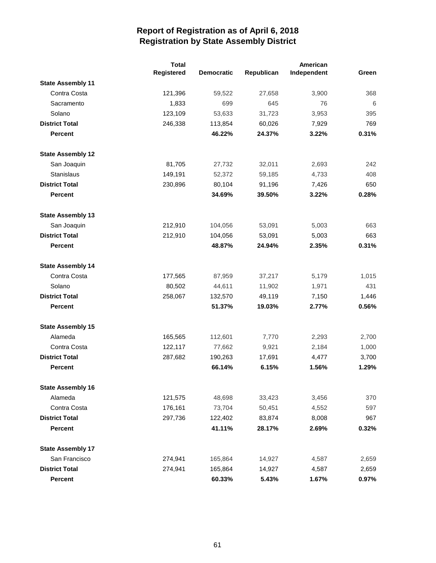|                          | <b>Total</b> |                   | American   |             |       |
|--------------------------|--------------|-------------------|------------|-------------|-------|
|                          | Registered   | <b>Democratic</b> | Republican | Independent | Green |
| <b>State Assembly 11</b> |              |                   |            |             |       |
| Contra Costa             | 121,396      | 59,522            | 27,658     | 3,900       | 368   |
| Sacramento               | 1,833        | 699               | 645        | 76          | 6     |
| Solano                   | 123,109      | 53,633            | 31,723     | 3,953       | 395   |
| <b>District Total</b>    | 246,338      | 113,854           | 60,026     | 7,929       | 769   |
| <b>Percent</b>           |              | 46.22%            | 24.37%     | 3.22%       | 0.31% |
| <b>State Assembly 12</b> |              |                   |            |             |       |
| San Joaquin              | 81,705       | 27,732            | 32,011     | 2,693       | 242   |
| Stanislaus               | 149,191      | 52,372            | 59,185     | 4,733       | 408   |
| <b>District Total</b>    | 230,896      | 80,104            | 91,196     | 7,426       | 650   |
| <b>Percent</b>           |              | 34.69%            | 39.50%     | 3.22%       | 0.28% |
| <b>State Assembly 13</b> |              |                   |            |             |       |
| San Joaquin              | 212,910      | 104,056           | 53,091     | 5,003       | 663   |
| <b>District Total</b>    | 212,910      | 104,056           | 53,091     | 5,003       | 663   |
| <b>Percent</b>           |              | 48.87%            | 24.94%     | 2.35%       | 0.31% |
| <b>State Assembly 14</b> |              |                   |            |             |       |
| Contra Costa             | 177,565      | 87,959            | 37,217     | 5,179       | 1,015 |
| Solano                   | 80,502       | 44,611            | 11,902     | 1,971       | 431   |
| <b>District Total</b>    | 258,067      | 132,570           | 49,119     | 7,150       | 1,446 |
| <b>Percent</b>           |              | 51.37%            | 19.03%     | 2.77%       | 0.56% |
| <b>State Assembly 15</b> |              |                   |            |             |       |
| Alameda                  | 165,565      | 112,601           | 7,770      | 2,293       | 2,700 |
| Contra Costa             | 122,117      | 77,662            | 9,921      | 2,184       | 1,000 |
| <b>District Total</b>    | 287,682      | 190,263           | 17,691     | 4,477       | 3,700 |
| <b>Percent</b>           |              | 66.14%            | 6.15%      | 1.56%       | 1.29% |
| <b>State Assembly 16</b> |              |                   |            |             |       |
| Alameda                  | 121,575      | 48,698            | 33,423     | 3,456       | 370   |
| Contra Costa             | 176,161      | 73,704            | 50,451     | 4,552       | 597   |
| <b>District Total</b>    | 297,736      | 122,402           | 83,874     | 8,008       | 967   |
| <b>Percent</b>           |              | 41.11%            | 28.17%     | 2.69%       | 0.32% |
| <b>State Assembly 17</b> |              |                   |            |             |       |
| San Francisco            | 274,941      | 165,864           | 14,927     | 4,587       | 2,659 |
| <b>District Total</b>    | 274,941      | 165,864           | 14,927     | 4,587       | 2,659 |
| Percent                  |              | 60.33%            | 5.43%      | 1.67%       | 0.97% |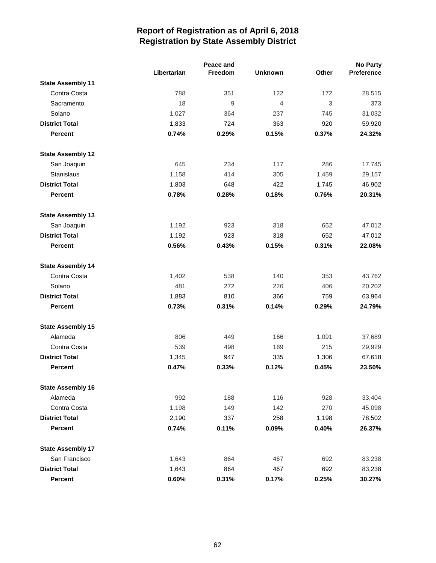|                          | Peace and   |                  |                | <b>No Party</b> |                   |
|--------------------------|-------------|------------------|----------------|-----------------|-------------------|
|                          | Libertarian | Freedom          | <b>Unknown</b> | <b>Other</b>    | <b>Preference</b> |
| <b>State Assembly 11</b> |             |                  |                |                 |                   |
| Contra Costa             | 788         | 351              | 122            | 172             | 28,515            |
| Sacramento               | 18          | $\boldsymbol{9}$ | $\overline{4}$ | $\sqrt{3}$      | 373               |
| Solano                   | 1,027       | 364              | 237            | 745             | 31,032            |
| <b>District Total</b>    | 1,833       | 724              | 363            | 920             | 59,920            |
| <b>Percent</b>           | 0.74%       | 0.29%            | 0.15%          | 0.37%           | 24.32%            |
| <b>State Assembly 12</b> |             |                  |                |                 |                   |
| San Joaquin              | 645         | 234              | 117            | 286             | 17,745            |
| Stanislaus               | 1,158       | 414              | 305            | 1,459           | 29,157            |
| <b>District Total</b>    | 1,803       | 648              | 422            | 1,745           | 46,902            |
| <b>Percent</b>           | 0.78%       | 0.28%            | 0.18%          | 0.76%           | 20.31%            |
| <b>State Assembly 13</b> |             |                  |                |                 |                   |
| San Joaquin              | 1,192       | 923              | 318            | 652             | 47,012            |
| <b>District Total</b>    | 1,192       | 923              | 318            | 652             | 47,012            |
| <b>Percent</b>           | 0.56%       | 0.43%            | 0.15%          | 0.31%           | 22.08%            |
| <b>State Assembly 14</b> |             |                  |                |                 |                   |
| Contra Costa             | 1,402       | 538              | 140            | 353             | 43,762            |
| Solano                   | 481         | 272              | 226            | 406             | 20,202            |
| <b>District Total</b>    | 1,883       | 810              | 366            | 759             | 63,964            |
| <b>Percent</b>           | 0.73%       | 0.31%            | 0.14%          | 0.29%           | 24.79%            |
| <b>State Assembly 15</b> |             |                  |                |                 |                   |
| Alameda                  | 806         | 449              | 166            | 1,091           | 37,689            |
| Contra Costa             | 539         | 498              | 169            | 215             | 29,929            |
| <b>District Total</b>    | 1,345       | 947              | 335            | 1,306           | 67,618            |
| <b>Percent</b>           | 0.47%       | 0.33%            | 0.12%          | 0.45%           | 23.50%            |
| <b>State Assembly 16</b> |             |                  |                |                 |                   |
| Alameda                  | 992         | 188              | 116            | 928             | 33,404            |
| Contra Costa             | 1,198       | 149              | 142            | 270             | 45,098            |
| <b>District Total</b>    | 2,190       | 337              | 258            | 1,198           | 78,502            |
| <b>Percent</b>           | 0.74%       | 0.11%            | 0.09%          | 0.40%           | 26.37%            |
| <b>State Assembly 17</b> |             |                  |                |                 |                   |
| San Francisco            | 1,643       | 864              | 467            | 692             | 83,238            |
| <b>District Total</b>    | 1,643       | 864              | 467            | 692             | 83,238            |
| Percent                  | 0.60%       | 0.31%            | 0.17%          | 0.25%           | 30.27%            |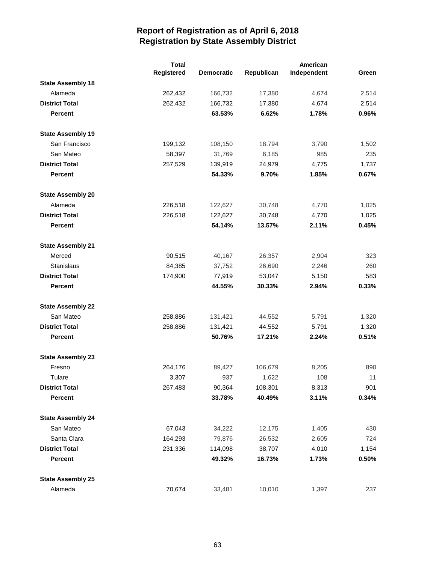|                          | <b>Total</b> |                   |            | American    |       |
|--------------------------|--------------|-------------------|------------|-------------|-------|
|                          | Registered   | <b>Democratic</b> | Republican | Independent | Green |
| <b>State Assembly 18</b> |              |                   |            |             |       |
| Alameda                  | 262,432      | 166,732           | 17,380     | 4,674       | 2,514 |
| <b>District Total</b>    | 262,432      | 166,732           | 17,380     | 4,674       | 2,514 |
| <b>Percent</b>           |              | 63.53%            | 6.62%      | 1.78%       | 0.96% |
| <b>State Assembly 19</b> |              |                   |            |             |       |
| San Francisco            | 199,132      | 108,150           | 18,794     | 3,790       | 1,502 |
| San Mateo                | 58,397       | 31,769            | 6,185      | 985         | 235   |
| <b>District Total</b>    | 257,529      | 139,919           | 24,979     | 4,775       | 1,737 |
| <b>Percent</b>           |              | 54.33%            | 9.70%      | 1.85%       | 0.67% |
| <b>State Assembly 20</b> |              |                   |            |             |       |
| Alameda                  | 226,518      | 122,627           | 30,748     | 4,770       | 1,025 |
| <b>District Total</b>    | 226,518      | 122,627           | 30,748     | 4,770       | 1,025 |
| <b>Percent</b>           |              | 54.14%            | 13.57%     | 2.11%       | 0.45% |
| <b>State Assembly 21</b> |              |                   |            |             |       |
| Merced                   | 90,515       | 40,167            | 26,357     | 2,904       | 323   |
| Stanislaus               | 84,385       | 37,752            | 26,690     | 2,246       | 260   |
| <b>District Total</b>    | 174,900      | 77,919            | 53,047     | 5,150       | 583   |
| <b>Percent</b>           |              | 44.55%            | 30.33%     | 2.94%       | 0.33% |
| <b>State Assembly 22</b> |              |                   |            |             |       |
| San Mateo                | 258,886      | 131,421           | 44,552     | 5,791       | 1,320 |
| <b>District Total</b>    | 258,886      | 131,421           | 44,552     | 5,791       | 1,320 |
| <b>Percent</b>           |              | 50.76%            | 17.21%     | 2.24%       | 0.51% |
| <b>State Assembly 23</b> |              |                   |            |             |       |
| Fresno                   | 264,176      | 89,427            | 106,679    | 8,205       | 890   |
| Tulare                   | 3,307        | 937               | 1,622      | 108         | 11    |
| <b>District Total</b>    | 267,483      | 90,364            | 108,301    | 8,313       | 901   |
| <b>Percent</b>           |              | 33.78%            | 40.49%     | 3.11%       | 0.34% |
| <b>State Assembly 24</b> |              |                   |            |             |       |
| San Mateo                | 67,043       | 34,222            | 12,175     | 1,405       | 430   |
| Santa Clara              | 164,293      | 79,876            | 26,532     | 2,605       | 724   |
| <b>District Total</b>    | 231,336      | 114,098           | 38,707     | 4,010       | 1,154 |
| <b>Percent</b>           |              | 49.32%            | 16.73%     | 1.73%       | 0.50% |
| <b>State Assembly 25</b> |              |                   |            |             |       |
| Alameda                  | 70,674       | 33,481            | 10,010     | 1,397       | 237   |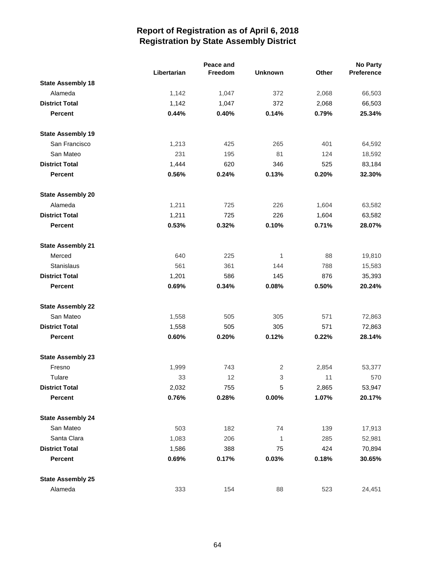|                          |             | Peace and |                |       | <b>No Party</b> |
|--------------------------|-------------|-----------|----------------|-------|-----------------|
|                          | Libertarian | Freedom   | <b>Unknown</b> | Other | Preference      |
| <b>State Assembly 18</b> |             |           |                |       |                 |
| Alameda                  | 1,142       | 1,047     | 372            | 2,068 | 66,503          |
| <b>District Total</b>    | 1,142       | 1,047     | 372            | 2,068 | 66,503          |
| <b>Percent</b>           | 0.44%       | 0.40%     | 0.14%          | 0.79% | 25.34%          |
| <b>State Assembly 19</b> |             |           |                |       |                 |
| San Francisco            | 1,213       | 425       | 265            | 401   | 64,592          |
| San Mateo                | 231         | 195       | 81             | 124   | 18,592          |
| <b>District Total</b>    | 1,444       | 620       | 346            | 525   | 83,184          |
| <b>Percent</b>           | 0.56%       | 0.24%     | 0.13%          | 0.20% | 32.30%          |
| <b>State Assembly 20</b> |             |           |                |       |                 |
| Alameda                  | 1,211       | 725       | 226            | 1,604 | 63,582          |
| <b>District Total</b>    | 1,211       | 725       | 226            | 1,604 | 63,582          |
| <b>Percent</b>           | 0.53%       | 0.32%     | 0.10%          | 0.71% | 28.07%          |
| <b>State Assembly 21</b> |             |           |                |       |                 |
| Merced                   | 640         | 225       | 1              | 88    | 19,810          |
| Stanislaus               | 561         | 361       | 144            | 788   | 15,583          |
| <b>District Total</b>    | 1,201       | 586       | 145            | 876   | 35,393          |
| <b>Percent</b>           | 0.69%       | 0.34%     | 0.08%          | 0.50% | 20.24%          |
| <b>State Assembly 22</b> |             |           |                |       |                 |
| San Mateo                | 1,558       | 505       | 305            | 571   | 72,863          |
| <b>District Total</b>    | 1,558       | 505       | 305            | 571   | 72,863          |
| <b>Percent</b>           | 0.60%       | 0.20%     | 0.12%          | 0.22% | 28.14%          |
| <b>State Assembly 23</b> |             |           |                |       |                 |
| Fresno                   | 1,999       | 743       | $\overline{c}$ | 2,854 | 53,377          |
| Tulare                   | 33          | 12        | 3              | 11    | 570             |
| <b>District Total</b>    | 2,032       | 755       | 5              | 2,865 | 53,947          |
| Percent                  | 0.76%       | 0.28%     | $0.00\%$       | 1.07% | 20.17%          |
| <b>State Assembly 24</b> |             |           |                |       |                 |
| San Mateo                | 503         | 182       | 74             | 139   | 17,913          |
| Santa Clara              | 1,083       | 206       | $\mathbf{1}$   | 285   | 52,981          |
| <b>District Total</b>    | 1,586       | 388       | 75             | 424   | 70,894          |
| <b>Percent</b>           | 0.69%       | 0.17%     | 0.03%          | 0.18% | 30.65%          |
| <b>State Assembly 25</b> |             |           |                |       |                 |
| Alameda                  | 333         | 154       | 88             | 523   | 24,451          |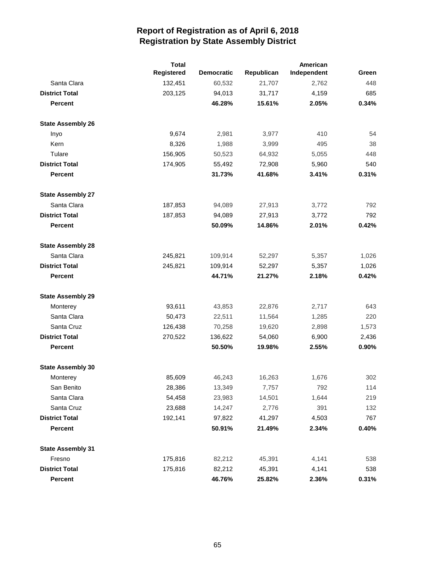|                          | <b>Total</b> |                   | American   |             |       |
|--------------------------|--------------|-------------------|------------|-------------|-------|
|                          | Registered   | <b>Democratic</b> | Republican | Independent | Green |
| Santa Clara              | 132,451      | 60,532            | 21,707     | 2,762       | 448   |
| <b>District Total</b>    | 203,125      | 94,013            | 31,717     | 4,159       | 685   |
| <b>Percent</b>           |              | 46.28%            | 15.61%     | 2.05%       | 0.34% |
| <b>State Assembly 26</b> |              |                   |            |             |       |
| Inyo                     | 9,674        | 2,981             | 3,977      | 410         | 54    |
| Kern                     | 8,326        | 1,988             | 3,999      | 495         | 38    |
| Tulare                   | 156,905      | 50,523            | 64,932     | 5,055       | 448   |
| <b>District Total</b>    | 174,905      | 55,492            | 72,908     | 5,960       | 540   |
| <b>Percent</b>           |              | 31.73%            | 41.68%     | 3.41%       | 0.31% |
| <b>State Assembly 27</b> |              |                   |            |             |       |
| Santa Clara              | 187,853      | 94,089            | 27,913     | 3,772       | 792   |
| <b>District Total</b>    | 187,853      | 94,089            | 27,913     | 3,772       | 792   |
| <b>Percent</b>           |              | 50.09%            | 14.86%     | 2.01%       | 0.42% |
| <b>State Assembly 28</b> |              |                   |            |             |       |
| Santa Clara              | 245,821      | 109,914           | 52,297     | 5,357       | 1,026 |
| <b>District Total</b>    | 245,821      | 109,914           | 52,297     | 5,357       | 1,026 |
| <b>Percent</b>           |              | 44.71%            | 21.27%     | 2.18%       | 0.42% |
| <b>State Assembly 29</b> |              |                   |            |             |       |
| Monterey                 | 93,611       | 43,853            | 22,876     | 2,717       | 643   |
| Santa Clara              | 50,473       | 22,511            | 11,564     | 1,285       | 220   |
| Santa Cruz               | 126,438      | 70,258            | 19,620     | 2,898       | 1,573 |
| <b>District Total</b>    | 270,522      | 136,622           | 54,060     | 6,900       | 2,436 |
| <b>Percent</b>           |              | 50.50%            | 19.98%     | 2.55%       | 0.90% |
| <b>State Assembly 30</b> |              |                   |            |             |       |
| Monterey                 | 85,609       | 46,243            | 16,263     | 1,676       | 302   |
| San Benito               | 28,386       | 13,349            | 7,757      | 792         | 114   |
| Santa Clara              | 54,458       | 23,983            | 14,501     | 1,644       | 219   |
| Santa Cruz               | 23,688       | 14,247            | 2,776      | 391         | 132   |
| <b>District Total</b>    | 192,141      | 97,822            | 41,297     | 4,503       | 767   |
| <b>Percent</b>           |              | 50.91%            | 21.49%     | 2.34%       | 0.40% |
| <b>State Assembly 31</b> |              |                   |            |             |       |
| Fresno                   | 175,816      | 82,212            | 45,391     | 4,141       | 538   |
| <b>District Total</b>    | 175,816      | 82,212            | 45,391     | 4,141       | 538   |
| Percent                  |              | 46.76%            | 25.82%     | 2.36%       | 0.31% |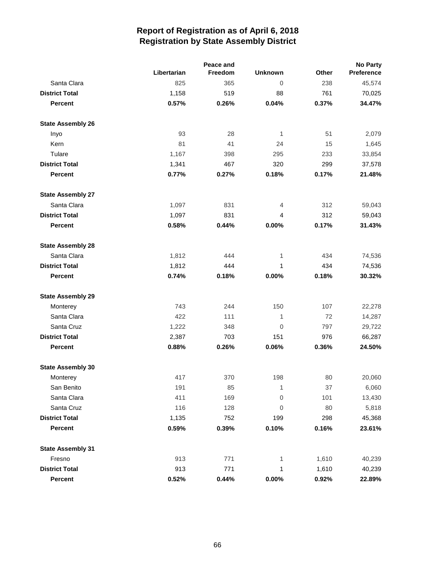|                          |             | Peace and |                |       | <b>No Party</b> |  |  |
|--------------------------|-------------|-----------|----------------|-------|-----------------|--|--|
|                          | Libertarian | Freedom   | <b>Unknown</b> | Other | Preference      |  |  |
| Santa Clara              | 825         | 365       | 0              | 238   | 45,574          |  |  |
| <b>District Total</b>    | 1,158       | 519       | 88             | 761   | 70,025          |  |  |
| <b>Percent</b>           | 0.57%       | 0.26%     | 0.04%          | 0.37% | 34.47%          |  |  |
| <b>State Assembly 26</b> |             |           |                |       |                 |  |  |
| Inyo                     | 93          | 28        | 1              | 51    | 2,079           |  |  |
| Kern                     | 81          | 41        | 24             | 15    | 1,645           |  |  |
| Tulare                   | 1,167       | 398       | 295            | 233   | 33,854          |  |  |
| <b>District Total</b>    | 1,341       | 467       | 320            | 299   | 37,578          |  |  |
| <b>Percent</b>           | 0.77%       | 0.27%     | 0.18%          | 0.17% | 21.48%          |  |  |
| <b>State Assembly 27</b> |             |           |                |       |                 |  |  |
| Santa Clara              | 1,097       | 831       | 4              | 312   | 59,043          |  |  |
| <b>District Total</b>    | 1,097       | 831       | 4              | 312   | 59,043          |  |  |
| <b>Percent</b>           | 0.58%       | 0.44%     | 0.00%          | 0.17% | 31.43%          |  |  |
| <b>State Assembly 28</b> |             |           |                |       |                 |  |  |
| Santa Clara              | 1,812       | 444       | 1              | 434   | 74,536          |  |  |
| <b>District Total</b>    | 1,812       | 444       | 1              | 434   | 74,536          |  |  |
| <b>Percent</b>           | 0.74%       | 0.18%     | 0.00%          | 0.18% | 30.32%          |  |  |
| <b>State Assembly 29</b> |             |           |                |       |                 |  |  |
| Monterey                 | 743         | 244       | 150            | 107   | 22,278          |  |  |
| Santa Clara              | 422         | 111       | 1              | 72    | 14,287          |  |  |
| Santa Cruz               | 1,222       | 348       | 0              | 797   | 29,722          |  |  |
| <b>District Total</b>    | 2,387       | 703       | 151            | 976   | 66,287          |  |  |
| <b>Percent</b>           | 0.88%       | 0.26%     | 0.06%          | 0.36% | 24.50%          |  |  |
| <b>State Assembly 30</b> |             |           |                |       |                 |  |  |
| Monterey                 | 417         | 370       | 198            | 80    | 20,060          |  |  |
| San Benito               | 191         | 85        | 1              | 37    | 6,060           |  |  |
| Santa Clara              | 411         | 169       | 0              | 101   | 13,430          |  |  |
| Santa Cruz               | 116         | 128       | 0              | 80    | 5,818           |  |  |
| <b>District Total</b>    | 1,135       | 752       | 199            | 298   | 45,368          |  |  |
| Percent                  | 0.59%       | 0.39%     | 0.10%          | 0.16% | 23.61%          |  |  |
| <b>State Assembly 31</b> |             |           |                |       |                 |  |  |
| Fresno                   | 913         | 771       | 1              | 1,610 | 40,239          |  |  |
| <b>District Total</b>    | 913         | 771       | 1              | 1,610 | 40,239          |  |  |
| <b>Percent</b>           | 0.52%       | 0.44%     | 0.00%          | 0.92% | 22.89%          |  |  |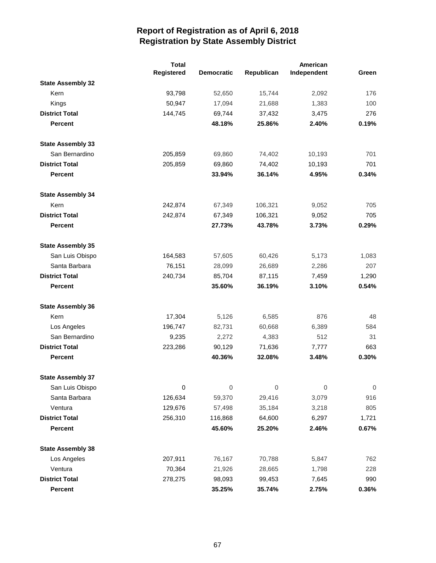|                          | <b>Total</b> |                   |             | American    |                  |
|--------------------------|--------------|-------------------|-------------|-------------|------------------|
|                          | Registered   | <b>Democratic</b> | Republican  | Independent | Green            |
| <b>State Assembly 32</b> |              |                   |             |             |                  |
| Kern                     | 93,798       | 52,650            | 15,744      | 2,092       | 176              |
| Kings                    | 50,947       | 17,094            | 21,688      | 1,383       | 100              |
| <b>District Total</b>    | 144,745      | 69,744            | 37,432      | 3,475       | 276              |
| <b>Percent</b>           |              | 48.18%            | 25.86%      | 2.40%       | 0.19%            |
| <b>State Assembly 33</b> |              |                   |             |             |                  |
| San Bernardino           | 205,859      | 69,860            | 74,402      | 10,193      | 701              |
| <b>District Total</b>    | 205,859      | 69,860            | 74,402      | 10,193      | 701              |
| <b>Percent</b>           |              | 33.94%            | 36.14%      | 4.95%       | 0.34%            |
| <b>State Assembly 34</b> |              |                   |             |             |                  |
| Kern                     | 242,874      | 67,349            | 106,321     | 9,052       | 705              |
| <b>District Total</b>    | 242,874      | 67,349            | 106,321     | 9,052       | 705              |
| <b>Percent</b>           |              | 27.73%            | 43.78%      | 3.73%       | 0.29%            |
| <b>State Assembly 35</b> |              |                   |             |             |                  |
| San Luis Obispo          | 164,583      | 57,605            | 60,426      | 5,173       | 1,083            |
| Santa Barbara            | 76,151       | 28,099            | 26,689      | 2,286       | 207              |
| <b>District Total</b>    | 240,734      | 85,704            | 87,115      | 7,459       | 1,290            |
| <b>Percent</b>           |              | 35.60%            | 36.19%      | 3.10%       | 0.54%            |
| <b>State Assembly 36</b> |              |                   |             |             |                  |
| Kern                     | 17,304       | 5,126             | 6,585       | 876         | 48               |
| Los Angeles              | 196,747      | 82,731            | 60,668      | 6,389       | 584              |
| San Bernardino           | 9,235        | 2,272             | 4,383       | 512         | 31               |
| <b>District Total</b>    | 223,286      | 90,129            | 71,636      | 7,777       | 663              |
| <b>Percent</b>           |              | 40.36%            | 32.08%      | 3.48%       | 0.30%            |
| <b>State Assembly 37</b> |              |                   |             |             |                  |
| San Luis Obispo          | $\pmb{0}$    | $\boldsymbol{0}$  | $\mathbf 0$ | 0           | $\boldsymbol{0}$ |
| Santa Barbara            | 126,634      | 59,370            | 29,416      | 3,079       | 916              |
| Ventura                  | 129,676      | 57,498            | 35,184      | 3,218       | 805              |
| <b>District Total</b>    | 256,310      | 116,868           | 64,600      | 6,297       | 1,721            |
| Percent                  |              | 45.60%            | 25.20%      | 2.46%       | 0.67%            |
| <b>State Assembly 38</b> |              |                   |             |             |                  |
| Los Angeles              | 207,911      | 76,167            | 70,788      | 5,847       | 762              |
| Ventura                  | 70,364       | 21,926            | 28,665      | 1,798       | 228              |
| <b>District Total</b>    | 278,275      | 98,093            | 99,453      | 7,645       | 990              |
| Percent                  |              | 35.25%            | 35.74%      | 2.75%       | 0.36%            |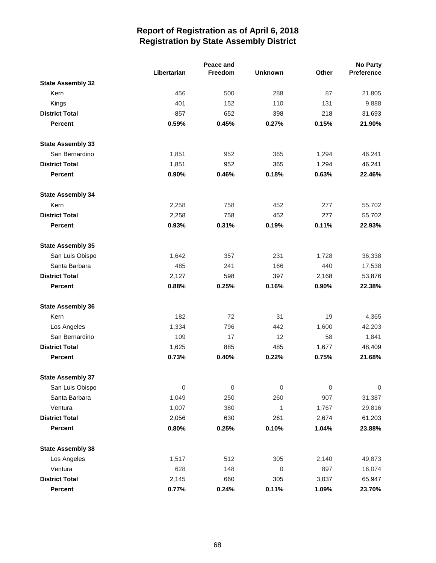|                          |             | Peace and           |                |             | <b>No Party</b>  |
|--------------------------|-------------|---------------------|----------------|-------------|------------------|
|                          | Libertarian | Freedom             | <b>Unknown</b> | Other       | Preference       |
| <b>State Assembly 32</b> |             |                     |                |             |                  |
| Kern                     | 456         | 500                 | 288            | 87          | 21,805           |
| Kings                    | 401         | 152                 | 110            | 131         | 9,888            |
| <b>District Total</b>    | 857         | 652                 | 398            | 218         | 31,693           |
| <b>Percent</b>           | 0.59%       | 0.45%               | 0.27%          | 0.15%       | 21.90%           |
| <b>State Assembly 33</b> |             |                     |                |             |                  |
| San Bernardino           | 1,851       | 952                 | 365            | 1,294       | 46,241           |
| <b>District Total</b>    | 1,851       | 952                 | 365            | 1,294       | 46,241           |
| <b>Percent</b>           | 0.90%       | 0.46%               | 0.18%          | 0.63%       | 22.46%           |
| <b>State Assembly 34</b> |             |                     |                |             |                  |
| Kern                     | 2,258       | 758                 | 452            | 277         | 55,702           |
| <b>District Total</b>    | 2,258       | 758                 | 452            | 277         | 55,702           |
| <b>Percent</b>           | 0.93%       | 0.31%               | 0.19%          | 0.11%       | 22.93%           |
| <b>State Assembly 35</b> |             |                     |                |             |                  |
| San Luis Obispo          | 1,642       | 357                 | 231            | 1,728       | 36,338           |
| Santa Barbara            | 485         | 241                 | 166            | 440         | 17,538           |
| <b>District Total</b>    | 2,127       | 598                 | 397            | 2,168       | 53,876           |
| <b>Percent</b>           | 0.88%       | 0.25%               | 0.16%          | 0.90%       | 22.38%           |
| <b>State Assembly 36</b> |             |                     |                |             |                  |
| Kern                     | 182         | 72                  | 31             | 19          | 4,365            |
| Los Angeles              | 1,334       | 796                 | 442            | 1,600       | 42,203           |
| San Bernardino           | 109         | 17                  | 12             | 58          | 1,841            |
| <b>District Total</b>    | 1,625       | 885                 | 485            | 1,677       | 48,409           |
| <b>Percent</b>           | 0.73%       | 0.40%               | 0.22%          | 0.75%       | 21.68%           |
| <b>State Assembly 37</b> |             |                     |                |             |                  |
| San Luis Obispo          | $\mathbf 0$ | $\mathsf{O}\xspace$ | $\mathbf 0$    | $\mathbf 0$ | $\boldsymbol{0}$ |
| Santa Barbara            | 1,049       | 250                 | 260            | 907         | 31,387           |
| Ventura                  | 1,007       | 380                 | 1              | 1,767       | 29,816           |
| <b>District Total</b>    | 2,056       | 630                 | 261            | 2,674       | 61,203           |
| Percent                  | 0.80%       | 0.25%               | 0.10%          | 1.04%       | 23.88%           |
| <b>State Assembly 38</b> |             |                     |                |             |                  |
| Los Angeles              | 1,517       | 512                 | 305            | 2,140       | 49,873           |
| Ventura                  | 628         | 148                 | $\mathbf 0$    | 897         | 16,074           |
| <b>District Total</b>    | 2,145       | 660                 | 305            | 3,037       | 65,947           |
| Percent                  | 0.77%       | 0.24%               | 0.11%          | 1.09%       | 23.70%           |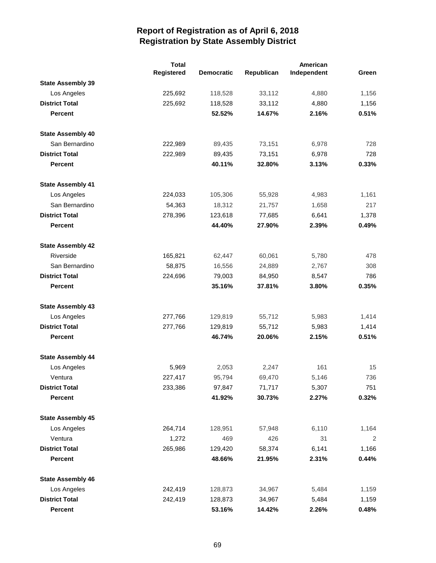|                          | <b>Total</b> |                   |            |             |       |
|--------------------------|--------------|-------------------|------------|-------------|-------|
|                          | Registered   | <b>Democratic</b> | Republican | Independent | Green |
| <b>State Assembly 39</b> |              |                   |            |             |       |
| Los Angeles              | 225,692      | 118,528           | 33,112     | 4,880       | 1,156 |
| <b>District Total</b>    | 225,692      | 118,528           | 33,112     | 4,880       | 1,156 |
| <b>Percent</b>           |              | 52.52%            | 14.67%     | 2.16%       | 0.51% |
| <b>State Assembly 40</b> |              |                   |            |             |       |
| San Bernardino           | 222,989      | 89,435            | 73,151     | 6,978       | 728   |
| <b>District Total</b>    | 222,989      | 89,435            | 73,151     | 6,978       | 728   |
| <b>Percent</b>           |              | 40.11%            | 32.80%     | 3.13%       | 0.33% |
| <b>State Assembly 41</b> |              |                   |            |             |       |
| Los Angeles              | 224,033      | 105,306           | 55,928     | 4,983       | 1,161 |
| San Bernardino           | 54,363       | 18,312            | 21,757     | 1,658       | 217   |
| <b>District Total</b>    | 278,396      | 123,618           | 77,685     | 6,641       | 1,378 |
| <b>Percent</b>           |              | 44.40%            | 27.90%     | 2.39%       | 0.49% |
| <b>State Assembly 42</b> |              |                   |            |             |       |
| Riverside                | 165,821      | 62,447            | 60,061     | 5,780       | 478   |
| San Bernardino           | 58,875       | 16,556            | 24,889     | 2,767       | 308   |
| <b>District Total</b>    | 224,696      | 79,003            | 84,950     | 8,547       | 786   |
| <b>Percent</b>           |              | 35.16%            | 37.81%     | 3.80%       | 0.35% |
| <b>State Assembly 43</b> |              |                   |            |             |       |
| Los Angeles              | 277,766      | 129,819           | 55,712     | 5,983       | 1,414 |
| <b>District Total</b>    | 277,766      | 129,819           | 55,712     | 5,983       | 1,414 |
| <b>Percent</b>           |              | 46.74%            | 20.06%     | 2.15%       | 0.51% |
| <b>State Assembly 44</b> |              |                   |            |             |       |
| Los Angeles              | 5,969        | 2,053             | 2,247      | 161         | 15    |
| Ventura                  | 227,417      | 95,794            | 69,470     | 5,146       | 736   |
| <b>District Total</b>    | 233,386      | 97,847            | 71,717     | 5,307       | 751   |
| <b>Percent</b>           |              | 41.92%            | 30.73%     | 2.27%       | 0.32% |
| <b>State Assembly 45</b> |              |                   |            |             |       |
| Los Angeles              | 264,714      | 128,951           | 57,948     | 6,110       | 1,164 |
| Ventura                  | 1,272        | 469               | 426        | 31          | 2     |
| <b>District Total</b>    | 265,986      | 129,420           | 58,374     | 6,141       | 1,166 |
| Percent                  |              | 48.66%            | 21.95%     | 2.31%       | 0.44% |
| <b>State Assembly 46</b> |              |                   |            |             |       |
| Los Angeles              | 242,419      | 128,873           | 34,967     | 5,484       | 1,159 |
| <b>District Total</b>    | 242,419      | 128,873           | 34,967     | 5,484       | 1,159 |
| Percent                  |              | 53.16%            | 14.42%     | 2.26%       | 0.48% |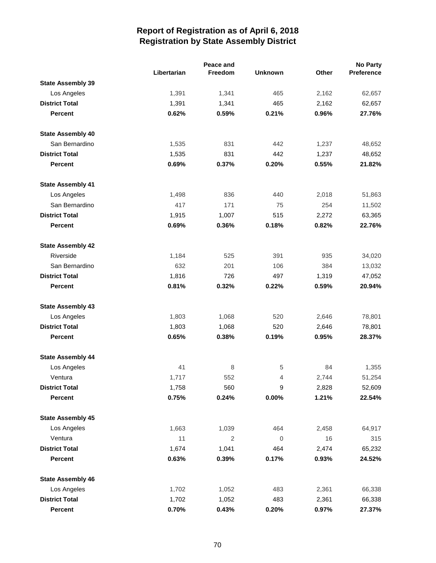|                          |             | Peace and |                |       | <b>No Party</b> |
|--------------------------|-------------|-----------|----------------|-------|-----------------|
|                          | Libertarian | Freedom   | <b>Unknown</b> | Other | Preference      |
| <b>State Assembly 39</b> |             |           |                |       |                 |
| Los Angeles              | 1,391       | 1,341     | 465            | 2,162 | 62,657          |
| <b>District Total</b>    | 1,391       | 1,341     | 465            | 2,162 | 62,657          |
| <b>Percent</b>           | 0.62%       | 0.59%     | 0.21%          | 0.96% | 27.76%          |
| <b>State Assembly 40</b> |             |           |                |       |                 |
| San Bernardino           | 1,535       | 831       | 442            | 1,237 | 48,652          |
| <b>District Total</b>    | 1,535       | 831       | 442            | 1,237 | 48,652          |
| <b>Percent</b>           | 0.69%       | 0.37%     | 0.20%          | 0.55% | 21.82%          |
| <b>State Assembly 41</b> |             |           |                |       |                 |
| Los Angeles              | 1,498       | 836       | 440            | 2,018 | 51,863          |
| San Bernardino           | 417         | 171       | 75             | 254   | 11,502          |
| <b>District Total</b>    | 1,915       | 1,007     | 515            | 2,272 | 63,365          |
| <b>Percent</b>           | 0.69%       | 0.36%     | 0.18%          | 0.82% | 22.76%          |
| <b>State Assembly 42</b> |             |           |                |       |                 |
| Riverside                | 1,184       | 525       | 391            | 935   | 34,020          |
| San Bernardino           | 632         | 201       | 106            | 384   | 13,032          |
| <b>District Total</b>    | 1,816       | 726       | 497            | 1,319 | 47,052          |
| <b>Percent</b>           | 0.81%       | 0.32%     | 0.22%          | 0.59% | 20.94%          |
| <b>State Assembly 43</b> |             |           |                |       |                 |
| Los Angeles              | 1,803       | 1,068     | 520            | 2,646 | 78,801          |
| <b>District Total</b>    | 1,803       | 1,068     | 520            | 2,646 | 78,801          |
| <b>Percent</b>           | 0.65%       | 0.38%     | 0.19%          | 0.95% | 28.37%          |
| <b>State Assembly 44</b> |             |           |                |       |                 |
| Los Angeles              | 41          | 8         | 5              | 84    | 1,355           |
| Ventura                  | 1,717       | 552       | 4              | 2,744 | 51,254          |
| <b>District Total</b>    | 1,758       | 560       | 9              | 2,828 | 52,609          |
| Percent                  | 0.75%       | 0.24%     | 0.00%          | 1.21% | 22.54%          |
| <b>State Assembly 45</b> |             |           |                |       |                 |
| Los Angeles              | 1,663       | 1,039     | 464            | 2,458 | 64,917          |
| Ventura                  | 11          | 2         | $\mathbf 0$    | 16    | 315             |
| <b>District Total</b>    | 1,674       | 1,041     | 464            | 2,474 | 65,232          |
| Percent                  | 0.63%       | 0.39%     | 0.17%          | 0.93% | 24.52%          |
| <b>State Assembly 46</b> |             |           |                |       |                 |
| Los Angeles              | 1,702       | 1,052     | 483            | 2,361 | 66,338          |
| <b>District Total</b>    | 1,702       | 1,052     | 483            | 2,361 | 66,338          |
| Percent                  | 0.70%       | 0.43%     | 0.20%          | 0.97% | 27.37%          |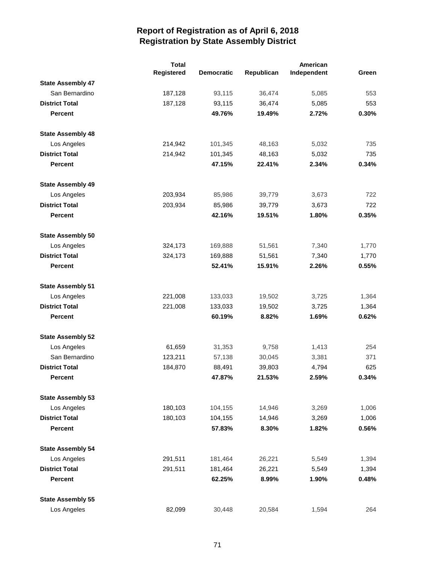|                          | <b>Total</b> |                   |            | American    |       |
|--------------------------|--------------|-------------------|------------|-------------|-------|
|                          | Registered   | <b>Democratic</b> | Republican | Independent | Green |
| <b>State Assembly 47</b> |              |                   |            |             |       |
| San Bernardino           | 187,128      | 93,115            | 36,474     | 5,085       | 553   |
| <b>District Total</b>    | 187,128      | 93,115            | 36,474     | 5,085       | 553   |
| <b>Percent</b>           |              | 49.76%            | 19.49%     | 2.72%       | 0.30% |
| <b>State Assembly 48</b> |              |                   |            |             |       |
| Los Angeles              | 214,942      | 101,345           | 48,163     | 5,032       | 735   |
| <b>District Total</b>    | 214,942      | 101,345           | 48,163     | 5,032       | 735   |
| <b>Percent</b>           |              | 47.15%            | 22.41%     | 2.34%       | 0.34% |
| <b>State Assembly 49</b> |              |                   |            |             |       |
| Los Angeles              | 203,934      | 85,986            | 39,779     | 3,673       | 722   |
| <b>District Total</b>    | 203,934      | 85,986            | 39,779     | 3,673       | 722   |
| <b>Percent</b>           |              | 42.16%            | 19.51%     | 1.80%       | 0.35% |
| <b>State Assembly 50</b> |              |                   |            |             |       |
| Los Angeles              | 324,173      | 169,888           | 51,561     | 7,340       | 1,770 |
| <b>District Total</b>    | 324,173      | 169,888           | 51,561     | 7,340       | 1,770 |
| <b>Percent</b>           |              | 52.41%            | 15.91%     | 2.26%       | 0.55% |
| <b>State Assembly 51</b> |              |                   |            |             |       |
| Los Angeles              | 221,008      | 133,033           | 19,502     | 3,725       | 1,364 |
| <b>District Total</b>    | 221,008      | 133,033           | 19,502     | 3,725       | 1,364 |
| <b>Percent</b>           |              | 60.19%            | 8.82%      | 1.69%       | 0.62% |
| <b>State Assembly 52</b> |              |                   |            |             |       |
| Los Angeles              | 61,659       | 31,353            | 9,758      | 1,413       | 254   |
| San Bernardino           | 123,211      | 57,138            | 30,045     | 3,381       | 371   |
| <b>District Total</b>    | 184,870      | 88,491            | 39,803     | 4,794       | 625   |
| <b>Percent</b>           |              | 47.87%            | 21.53%     | 2.59%       | 0.34% |
| <b>State Assembly 53</b> |              |                   |            |             |       |
| Los Angeles              | 180,103      | 104,155           | 14,946     | 3,269       | 1,006 |
| <b>District Total</b>    | 180,103      | 104,155           | 14,946     | 3,269       | 1,006 |
| <b>Percent</b>           |              | 57.83%            | 8.30%      | 1.82%       | 0.56% |
| <b>State Assembly 54</b> |              |                   |            |             |       |
| Los Angeles              | 291,511      | 181,464           | 26,221     | 5,549       | 1,394 |
| <b>District Total</b>    | 291,511      | 181,464           | 26,221     | 5,549       | 1,394 |
| <b>Percent</b>           |              | 62.25%            | 8.99%      | 1.90%       | 0.48% |
| <b>State Assembly 55</b> |              |                   |            |             |       |
| Los Angeles              | 82,099       | 30,448            | 20,584     | 1,594       | 264   |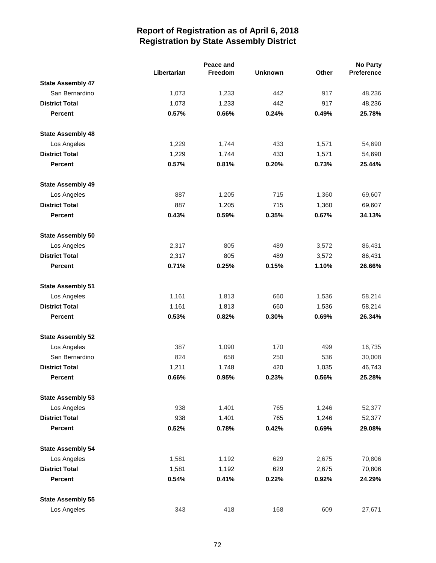|                          |             | Peace and |                |       | <b>No Party</b> |
|--------------------------|-------------|-----------|----------------|-------|-----------------|
|                          | Libertarian | Freedom   | <b>Unknown</b> | Other | Preference      |
| <b>State Assembly 47</b> |             |           |                |       |                 |
| San Bernardino           | 1,073       | 1,233     | 442            | 917   | 48,236          |
| <b>District Total</b>    | 1,073       | 1,233     | 442            | 917   | 48,236          |
| <b>Percent</b>           | 0.57%       | 0.66%     | 0.24%          | 0.49% | 25.78%          |
| <b>State Assembly 48</b> |             |           |                |       |                 |
| Los Angeles              | 1,229       | 1,744     | 433            | 1,571 | 54,690          |
| <b>District Total</b>    | 1,229       | 1,744     | 433            | 1,571 | 54,690          |
| <b>Percent</b>           | 0.57%       | 0.81%     | 0.20%          | 0.73% | 25.44%          |
| <b>State Assembly 49</b> |             |           |                |       |                 |
| Los Angeles              | 887         | 1,205     | 715            | 1,360 | 69,607          |
| <b>District Total</b>    | 887         | 1,205     | 715            | 1,360 | 69,607          |
| <b>Percent</b>           | 0.43%       | 0.59%     | 0.35%          | 0.67% | 34.13%          |
| <b>State Assembly 50</b> |             |           |                |       |                 |
| Los Angeles              | 2,317       | 805       | 489            | 3,572 | 86,431          |
| <b>District Total</b>    | 2,317       | 805       | 489            | 3,572 | 86,431          |
| <b>Percent</b>           | 0.71%       | 0.25%     | 0.15%          | 1.10% | 26.66%          |
| <b>State Assembly 51</b> |             |           |                |       |                 |
| Los Angeles              | 1,161       | 1,813     | 660            | 1,536 | 58,214          |
| <b>District Total</b>    | 1,161       | 1,813     | 660            | 1,536 | 58,214          |
| <b>Percent</b>           | 0.53%       | 0.82%     | 0.30%          | 0.69% | 26.34%          |
| <b>State Assembly 52</b> |             |           |                |       |                 |
| Los Angeles              | 387         | 1,090     | 170            | 499   | 16,735          |
| San Bernardino           | 824         | 658       | 250            | 536   | 30,008          |
| <b>District Total</b>    | 1,211       | 1,748     | 420            | 1,035 | 46,743          |
| <b>Percent</b>           | 0.66%       | 0.95%     | 0.23%          | 0.56% | 25.28%          |
| <b>State Assembly 53</b> |             |           |                |       |                 |
| Los Angeles              | 938         | 1,401     | 765            | 1,246 | 52,377          |
| <b>District Total</b>    | 938         | 1,401     | 765            | 1,246 | 52,377          |
| <b>Percent</b>           | 0.52%       | 0.78%     | 0.42%          | 0.69% | 29.08%          |
| <b>State Assembly 54</b> |             |           |                |       |                 |
| Los Angeles              | 1,581       | 1,192     | 629            | 2,675 | 70,806          |
| <b>District Total</b>    | 1,581       | 1,192     | 629            | 2,675 | 70,806          |
| <b>Percent</b>           | 0.54%       | 0.41%     | 0.22%          | 0.92% | 24.29%          |
| <b>State Assembly 55</b> |             |           |                |       |                 |
| Los Angeles              | 343         | 418       | 168            | 609   | 27,671          |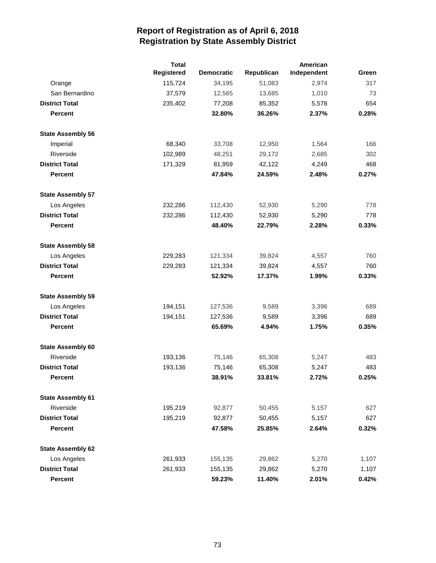|                          | <b>Total</b> |                   | American   |             |       |
|--------------------------|--------------|-------------------|------------|-------------|-------|
|                          | Registered   | <b>Democratic</b> | Republican | Independent | Green |
| Orange                   | 115,724      | 34,195            | 51,083     | 2,974       | 317   |
| San Bernardino           | 37,579       | 12,565            | 13,685     | 1,010       | 73    |
| <b>District Total</b>    | 235,402      | 77,208            | 85,352     | 5,578       | 654   |
| <b>Percent</b>           |              | 32.80%            | 36.26%     | 2.37%       | 0.28% |
| <b>State Assembly 56</b> |              |                   |            |             |       |
| Imperial                 | 68,340       | 33,708            | 12,950     | 1,564       | 166   |
| Riverside                | 102,989      | 48,251            | 29,172     | 2,685       | 302   |
| <b>District Total</b>    | 171,329      | 81,959            | 42,122     | 4,249       | 468   |
| <b>Percent</b>           |              | 47.84%            | 24.59%     | 2.48%       | 0.27% |
| <b>State Assembly 57</b> |              |                   |            |             |       |
| Los Angeles              | 232,286      | 112,430           | 52,930     | 5,290       | 778   |
| <b>District Total</b>    | 232,286      | 112,430           | 52,930     | 5,290       | 778   |
| <b>Percent</b>           |              | 48.40%            | 22.79%     | 2.28%       | 0.33% |
| <b>State Assembly 58</b> |              |                   |            |             |       |
| Los Angeles              | 229,283      | 121,334           | 39,824     | 4,557       | 760   |
| <b>District Total</b>    | 229,283      | 121,334           | 39,824     | 4,557       | 760   |
| <b>Percent</b>           |              | 52.92%            | 17.37%     | 1.99%       | 0.33% |
| <b>State Assembly 59</b> |              |                   |            |             |       |
| Los Angeles              | 194,151      | 127,536           | 9,589      | 3,396       | 689   |
| <b>District Total</b>    | 194,151      | 127,536           | 9,589      | 3,396       | 689   |
| <b>Percent</b>           |              | 65.69%            | 4.94%      | 1.75%       | 0.35% |
| <b>State Assembly 60</b> |              |                   |            |             |       |
| Riverside                | 193,136      | 75,146            | 65,308     | 5,247       | 483   |
| <b>District Total</b>    | 193,136      | 75,146            | 65,308     | 5,247       | 483   |
| Percent                  |              | 38.91%            | 33.81%     | 2.72%       | 0.25% |
| <b>State Assembly 61</b> |              |                   |            |             |       |
| Riverside                | 195,219      | 92,877            | 50,455     | 5,157       | 627   |
| <b>District Total</b>    | 195,219      | 92,877            | 50,455     | 5,157       | 627   |
| <b>Percent</b>           |              | 47.58%            | 25.85%     | 2.64%       | 0.32% |
| <b>State Assembly 62</b> |              |                   |            |             |       |
| Los Angeles              | 261,933      | 155,135           | 29,862     | 5,270       | 1,107 |
| <b>District Total</b>    | 261,933      | 155,135           | 29,862     | 5,270       | 1,107 |
| <b>Percent</b>           |              | 59.23%            | 11.40%     | 2.01%       | 0.42% |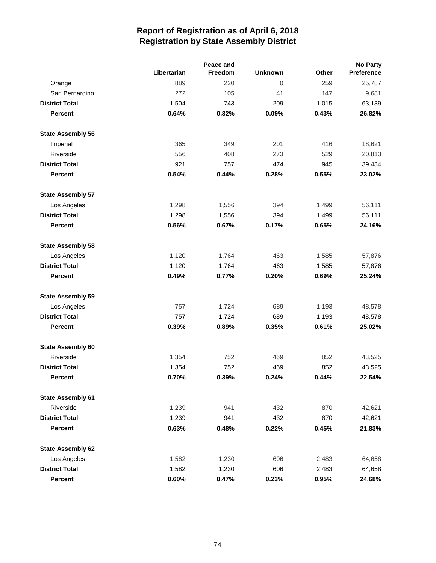|                          |             | Peace and |                |       | <b>No Party</b> |  |  |
|--------------------------|-------------|-----------|----------------|-------|-----------------|--|--|
|                          | Libertarian | Freedom   | <b>Unknown</b> | Other | Preference      |  |  |
| Orange                   | 889         | 220       | $\overline{0}$ | 259   | 25,787          |  |  |
| San Bernardino           | 272         | 105       | 41             | 147   | 9,681           |  |  |
| <b>District Total</b>    | 1,504       | 743       | 209            | 1,015 | 63,139          |  |  |
| <b>Percent</b>           | 0.64%       | 0.32%     | 0.09%          | 0.43% | 26.82%          |  |  |
| <b>State Assembly 56</b> |             |           |                |       |                 |  |  |
| Imperial                 | 365         | 349       | 201            | 416   | 18,621          |  |  |
| Riverside                | 556         | 408       | 273            | 529   | 20,813          |  |  |
| <b>District Total</b>    | 921         | 757       | 474            | 945   | 39,434          |  |  |
| <b>Percent</b>           | 0.54%       | 0.44%     | 0.28%          | 0.55% | 23.02%          |  |  |
| <b>State Assembly 57</b> |             |           |                |       |                 |  |  |
| Los Angeles              | 1,298       | 1,556     | 394            | 1,499 | 56,111          |  |  |
| <b>District Total</b>    | 1,298       | 1,556     | 394            | 1,499 | 56,111          |  |  |
| <b>Percent</b>           | 0.56%       | 0.67%     | 0.17%          | 0.65% | 24.16%          |  |  |
| <b>State Assembly 58</b> |             |           |                |       |                 |  |  |
| Los Angeles              | 1,120       | 1,764     | 463            | 1,585 | 57,876          |  |  |
| <b>District Total</b>    | 1,120       | 1,764     | 463            | 1,585 | 57,876          |  |  |
| <b>Percent</b>           | 0.49%       | 0.77%     | 0.20%          | 0.69% | 25.24%          |  |  |
| <b>State Assembly 59</b> |             |           |                |       |                 |  |  |
| Los Angeles              | 757         | 1,724     | 689            | 1,193 | 48,578          |  |  |
| <b>District Total</b>    | 757         | 1,724     | 689            | 1,193 | 48,578          |  |  |
| <b>Percent</b>           | 0.39%       | 0.89%     | 0.35%          | 0.61% | 25.02%          |  |  |
| <b>State Assembly 60</b> |             |           |                |       |                 |  |  |
| Riverside                | 1,354       | 752       | 469            | 852   | 43,525          |  |  |
| <b>District Total</b>    | 1,354       | 752       | 469            | 852   | 43,525          |  |  |
| Percent                  | 0.70%       | 0.39%     | 0.24%          | 0.44% | 22.54%          |  |  |
| <b>State Assembly 61</b> |             |           |                |       |                 |  |  |
| Riverside                | 1,239       | 941       | 432            | 870   | 42,621          |  |  |
| <b>District Total</b>    | 1,239       | 941       | 432            | 870   | 42,621          |  |  |
| Percent                  | 0.63%       | 0.48%     | 0.22%          | 0.45% | 21.83%          |  |  |
| <b>State Assembly 62</b> |             |           |                |       |                 |  |  |
| Los Angeles              | 1,582       | 1,230     | 606            | 2,483 | 64,658          |  |  |
| <b>District Total</b>    | 1,582       | 1,230     | 606            | 2,483 | 64,658          |  |  |
| Percent                  | 0.60%       | 0.47%     | 0.23%          | 0.95% | 24.68%          |  |  |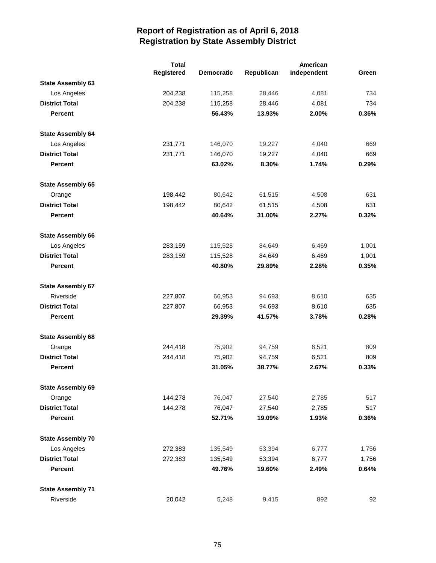|                          | <b>Total</b><br>American |                   |            |             |       |
|--------------------------|--------------------------|-------------------|------------|-------------|-------|
|                          | Registered               | <b>Democratic</b> | Republican | Independent | Green |
| <b>State Assembly 63</b> |                          |                   |            |             |       |
| Los Angeles              | 204,238                  | 115,258           | 28,446     | 4,081       | 734   |
| <b>District Total</b>    | 204,238                  | 115,258           | 28,446     | 4,081       | 734   |
| <b>Percent</b>           |                          | 56.43%            | 13.93%     | 2.00%       | 0.36% |
| <b>State Assembly 64</b> |                          |                   |            |             |       |
| Los Angeles              | 231,771                  | 146,070           | 19,227     | 4,040       | 669   |
| <b>District Total</b>    | 231,771                  | 146,070           | 19,227     | 4,040       | 669   |
| <b>Percent</b>           |                          | 63.02%            | 8.30%      | 1.74%       | 0.29% |
| <b>State Assembly 65</b> |                          |                   |            |             |       |
| Orange                   | 198,442                  | 80,642            | 61,515     | 4,508       | 631   |
| <b>District Total</b>    | 198,442                  | 80,642            | 61,515     | 4,508       | 631   |
| <b>Percent</b>           |                          | 40.64%            | 31.00%     | 2.27%       | 0.32% |
| <b>State Assembly 66</b> |                          |                   |            |             |       |
| Los Angeles              | 283,159                  | 115,528           | 84,649     | 6,469       | 1,001 |
| <b>District Total</b>    | 283,159                  | 115,528           | 84,649     | 6,469       | 1,001 |
| <b>Percent</b>           |                          | 40.80%            | 29.89%     | 2.28%       | 0.35% |
| <b>State Assembly 67</b> |                          |                   |            |             |       |
| Riverside                | 227,807                  | 66,953            | 94,693     | 8,610       | 635   |
| <b>District Total</b>    | 227,807                  | 66,953            | 94,693     | 8,610       | 635   |
| <b>Percent</b>           |                          | 29.39%            | 41.57%     | 3.78%       | 0.28% |
| <b>State Assembly 68</b> |                          |                   |            |             |       |
| Orange                   | 244,418                  | 75,902            | 94,759     | 6,521       | 809   |
| <b>District Total</b>    | 244,418                  | 75,902            | 94,759     | 6,521       | 809   |
| <b>Percent</b>           |                          | 31.05%            | 38.77%     | 2.67%       | 0.33% |
| <b>State Assembly 69</b> |                          |                   |            |             |       |
| Orange                   | 144,278                  | 76,047            | 27,540     | 2,785       | 517   |
| <b>District Total</b>    | 144,278                  | 76,047            | 27,540     | 2,785       | 517   |
| <b>Percent</b>           |                          | 52.71%            | 19.09%     | 1.93%       | 0.36% |
| <b>State Assembly 70</b> |                          |                   |            |             |       |
| Los Angeles              | 272,383                  | 135,549           | 53,394     | 6,777       | 1,756 |
| <b>District Total</b>    | 272,383                  | 135,549           | 53,394     | 6,777       | 1,756 |
| <b>Percent</b>           |                          | 49.76%            | 19.60%     | 2.49%       | 0.64% |
| <b>State Assembly 71</b> |                          |                   |            |             |       |
| Riverside                | 20,042                   | 5,248             | 9,415      | 892         | 92    |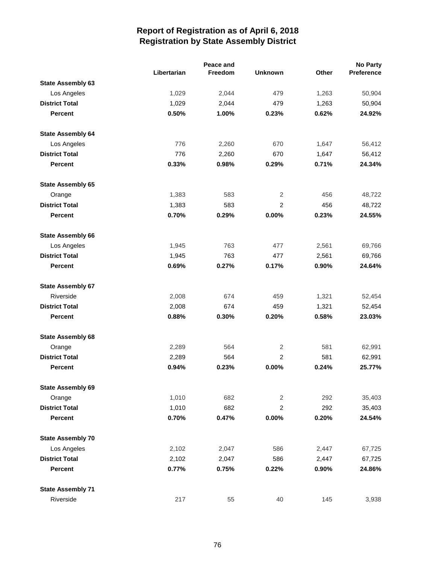|                          |             | Peace and |                |       | <b>No Party</b> |
|--------------------------|-------------|-----------|----------------|-------|-----------------|
|                          | Libertarian | Freedom   | <b>Unknown</b> | Other | Preference      |
| <b>State Assembly 63</b> |             |           |                |       |                 |
| Los Angeles              | 1,029       | 2,044     | 479            | 1,263 | 50,904          |
| <b>District Total</b>    | 1,029       | 2,044     | 479            | 1,263 | 50,904          |
| <b>Percent</b>           | 0.50%       | 1.00%     | 0.23%          | 0.62% | 24.92%          |
| <b>State Assembly 64</b> |             |           |                |       |                 |
| Los Angeles              | 776         | 2,260     | 670            | 1,647 | 56,412          |
| <b>District Total</b>    | 776         | 2,260     | 670            | 1,647 | 56,412          |
| <b>Percent</b>           | 0.33%       | 0.98%     | 0.29%          | 0.71% | 24.34%          |
| <b>State Assembly 65</b> |             |           |                |       |                 |
| Orange                   | 1,383       | 583       | 2              | 456   | 48,722          |
| <b>District Total</b>    | 1,383       | 583       | $\overline{2}$ | 456   | 48,722          |
| <b>Percent</b>           | 0.70%       | 0.29%     | 0.00%          | 0.23% | 24.55%          |
| <b>State Assembly 66</b> |             |           |                |       |                 |
| Los Angeles              | 1,945       | 763       | 477            | 2,561 | 69,766          |
| <b>District Total</b>    | 1,945       | 763       | 477            | 2,561 | 69,766          |
| <b>Percent</b>           | 0.69%       | 0.27%     | 0.17%          | 0.90% | 24.64%          |
| <b>State Assembly 67</b> |             |           |                |       |                 |
| Riverside                | 2,008       | 674       | 459            | 1,321 | 52,454          |
| <b>District Total</b>    | 2,008       | 674       | 459            | 1,321 | 52,454          |
| <b>Percent</b>           | 0.88%       | 0.30%     | 0.20%          | 0.58% | 23.03%          |
| <b>State Assembly 68</b> |             |           |                |       |                 |
| Orange                   | 2,289       | 564       | 2              | 581   | 62,991          |
| <b>District Total</b>    | 2,289       | 564       | $\overline{c}$ | 581   | 62,991          |
| <b>Percent</b>           | 0.94%       | 0.23%     | 0.00%          | 0.24% | 25.77%          |
| <b>State Assembly 69</b> |             |           |                |       |                 |
| Orange                   | 1,010       | 682       | $\mathbf{2}$   | 292   | 35,403          |
| <b>District Total</b>    | 1,010       | 682       | $\overline{2}$ | 292   | 35,403          |
| <b>Percent</b>           | 0.70%       | 0.47%     | 0.00%          | 0.20% | 24.54%          |
| <b>State Assembly 70</b> |             |           |                |       |                 |
| Los Angeles              | 2,102       | 2,047     | 586            | 2,447 | 67,725          |
| <b>District Total</b>    | 2,102       | 2,047     | 586            | 2,447 | 67,725          |
| <b>Percent</b>           | 0.77%       | 0.75%     | 0.22%          | 0.90% | 24.86%          |
| <b>State Assembly 71</b> |             |           |                |       |                 |
| Riverside                | 217         | 55        | 40             | 145   | 3,938           |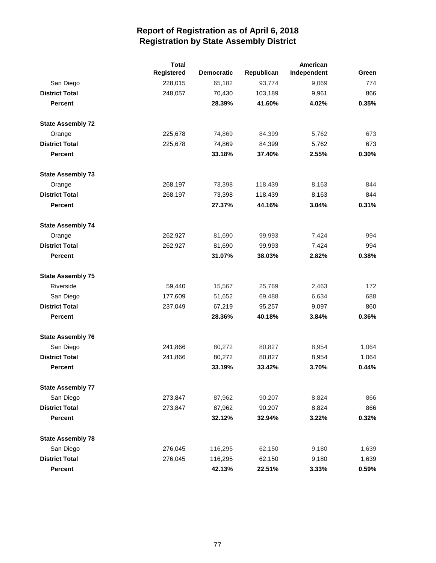|                          | <b>Total</b><br>American |                   |            |             |       |
|--------------------------|--------------------------|-------------------|------------|-------------|-------|
|                          | Registered               | <b>Democratic</b> | Republican | Independent | Green |
| San Diego                | 228,015                  | 65,182            | 93,774     | 9,069       | 774   |
| <b>District Total</b>    | 248,057                  | 70,430            | 103,189    | 9,961       | 866   |
| <b>Percent</b>           |                          | 28.39%            | 41.60%     | 4.02%       | 0.35% |
| <b>State Assembly 72</b> |                          |                   |            |             |       |
| Orange                   | 225,678                  | 74,869            | 84,399     | 5,762       | 673   |
| <b>District Total</b>    | 225,678                  | 74,869            | 84,399     | 5,762       | 673   |
| <b>Percent</b>           |                          | 33.18%            | 37.40%     | 2.55%       | 0.30% |
| <b>State Assembly 73</b> |                          |                   |            |             |       |
| Orange                   | 268,197                  | 73,398            | 118,439    | 8,163       | 844   |
| <b>District Total</b>    | 268,197                  | 73,398            | 118,439    | 8,163       | 844   |
| <b>Percent</b>           |                          | 27.37%            | 44.16%     | 3.04%       | 0.31% |
| <b>State Assembly 74</b> |                          |                   |            |             |       |
| Orange                   | 262,927                  | 81,690            | 99,993     | 7,424       | 994   |
| <b>District Total</b>    | 262,927                  | 81,690            | 99,993     | 7,424       | 994   |
| <b>Percent</b>           |                          | 31.07%            | 38.03%     | 2.82%       | 0.38% |
| <b>State Assembly 75</b> |                          |                   |            |             |       |
| Riverside                | 59,440                   | 15,567            | 25,769     | 2,463       | 172   |
| San Diego                | 177,609                  | 51,652            | 69,488     | 6,634       | 688   |
| <b>District Total</b>    | 237,049                  | 67,219            | 95,257     | 9,097       | 860   |
| <b>Percent</b>           |                          | 28.36%            | 40.18%     | 3.84%       | 0.36% |
| <b>State Assembly 76</b> |                          |                   |            |             |       |
| San Diego                | 241,866                  | 80,272            | 80,827     | 8,954       | 1,064 |
| <b>District Total</b>    | 241,866                  | 80,272            | 80,827     | 8,954       | 1,064 |
| <b>Percent</b>           |                          | 33.19%            | 33.42%     | 3.70%       | 0.44% |
| <b>State Assembly 77</b> |                          |                   |            |             |       |
| San Diego                | 273,847                  | 87,962            | 90,207     | 8,824       | 866   |
| <b>District Total</b>    | 273,847                  | 87,962            | 90,207     | 8,824       | 866   |
| <b>Percent</b>           |                          | 32.12%            | 32.94%     | 3.22%       | 0.32% |
| <b>State Assembly 78</b> |                          |                   |            |             |       |
| San Diego                | 276,045                  | 116,295           | 62,150     | 9,180       | 1,639 |
| <b>District Total</b>    | 276,045                  | 116,295           | 62,150     | 9,180       | 1,639 |
| Percent                  |                          | 42.13%            | 22.51%     | 3.33%       | 0.59% |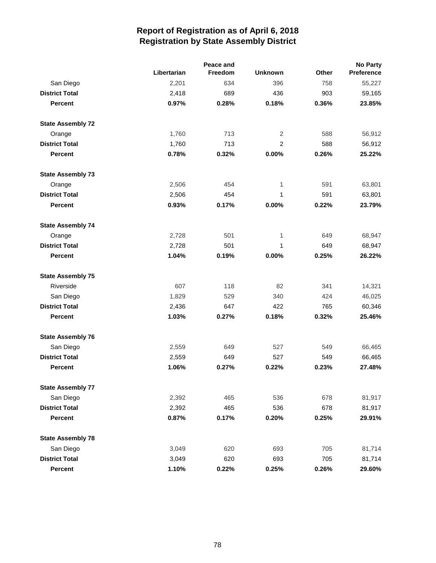|                          |             | Peace and |                |       | <b>No Party</b> |  |  |
|--------------------------|-------------|-----------|----------------|-------|-----------------|--|--|
|                          | Libertarian | Freedom   | <b>Unknown</b> | Other | Preference      |  |  |
| San Diego                | 2,201       | 634       | 396            | 758   | 55,227          |  |  |
| <b>District Total</b>    | 2,418       | 689       | 436            | 903   | 59,165          |  |  |
| <b>Percent</b>           | 0.97%       | 0.28%     | 0.18%          | 0.36% | 23.85%          |  |  |
| <b>State Assembly 72</b> |             |           |                |       |                 |  |  |
| Orange                   | 1,760       | 713       | 2              | 588   | 56,912          |  |  |
| <b>District Total</b>    | 1,760       | 713       | 2              | 588   | 56,912          |  |  |
| <b>Percent</b>           | 0.78%       | 0.32%     | 0.00%          | 0.26% | 25.22%          |  |  |
| <b>State Assembly 73</b> |             |           |                |       |                 |  |  |
| Orange                   | 2,506       | 454       | 1              | 591   | 63,801          |  |  |
| <b>District Total</b>    | 2,506       | 454       | 1              | 591   | 63,801          |  |  |
| <b>Percent</b>           | 0.93%       | 0.17%     | 0.00%          | 0.22% | 23.79%          |  |  |
| <b>State Assembly 74</b> |             |           |                |       |                 |  |  |
| Orange                   | 2,728       | 501       | $\mathbf{1}$   | 649   | 68,947          |  |  |
| <b>District Total</b>    | 2,728       | 501       | $\mathbf 1$    | 649   | 68,947          |  |  |
| <b>Percent</b>           | 1.04%       | 0.19%     | 0.00%          | 0.25% | 26.22%          |  |  |
| <b>State Assembly 75</b> |             |           |                |       |                 |  |  |
| Riverside                | 607         | 118       | 82             | 341   | 14,321          |  |  |
| San Diego                | 1,829       | 529       | 340            | 424   | 46,025          |  |  |
| <b>District Total</b>    | 2,436       | 647       | 422            | 765   | 60,346          |  |  |
| <b>Percent</b>           | 1.03%       | 0.27%     | 0.18%          | 0.32% | 25.46%          |  |  |
| <b>State Assembly 76</b> |             |           |                |       |                 |  |  |
| San Diego                | 2,559       | 649       | 527            | 549   | 66,465          |  |  |
| <b>District Total</b>    | 2,559       | 649       | 527            | 549   | 66,465          |  |  |
| <b>Percent</b>           | 1.06%       | 0.27%     | 0.22%          | 0.23% | 27.48%          |  |  |
| <b>State Assembly 77</b> |             |           |                |       |                 |  |  |
| San Diego                | 2,392       | 465       | 536            | 678   | 81,917          |  |  |
| <b>District Total</b>    | 2,392       | 465       | 536            | 678   | 81,917          |  |  |
| <b>Percent</b>           | 0.87%       | 0.17%     | 0.20%          | 0.25% | 29.91%          |  |  |
| <b>State Assembly 78</b> |             |           |                |       |                 |  |  |
| San Diego                | 3,049       | 620       | 693            | 705   | 81,714          |  |  |
| <b>District Total</b>    | 3,049       | 620       | 693            | 705   | 81,714          |  |  |
| Percent                  | 1.10%       | 0.22%     | 0.25%          | 0.26% | 29.60%          |  |  |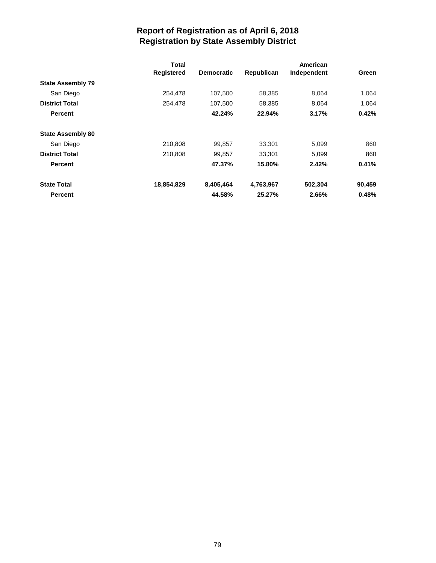|                          | Total             |                   |            | American    |        |
|--------------------------|-------------------|-------------------|------------|-------------|--------|
|                          | <b>Registered</b> | <b>Democratic</b> | Republican | Independent | Green  |
| <b>State Assembly 79</b> |                   |                   |            |             |        |
| San Diego                | 254.478           | 107.500           | 58.385     | 8.064       | 1.064  |
| <b>District Total</b>    | 254,478           | 107,500           | 58,385     | 8,064       | 1,064  |
| <b>Percent</b>           |                   | 42.24%            | 22.94%     | 3.17%       | 0.42%  |
| <b>State Assembly 80</b> |                   |                   |            |             |        |
| San Diego                | 210,808           | 99,857            | 33,301     | 5,099       | 860    |
| <b>District Total</b>    | 210,808           | 99.857            | 33.301     | 5.099       | 860    |
| <b>Percent</b>           |                   | 47.37%            | 15.80%     | 2.42%       | 0.41%  |
| <b>State Total</b>       | 18,854,829        | 8,405,464         | 4,763,967  | 502,304     | 90,459 |
| <b>Percent</b>           |                   | 44.58%            | 25.27%     | 2.66%       | 0.48%  |